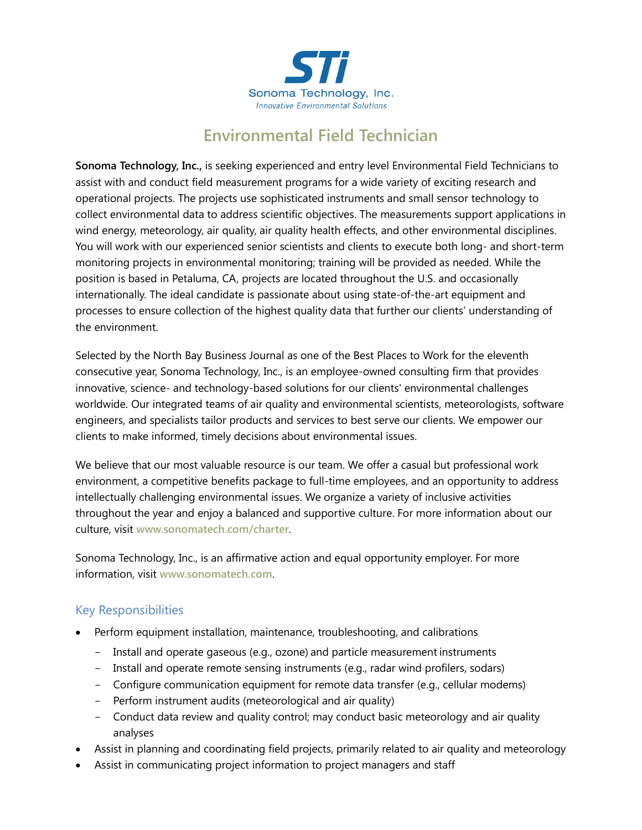

# **Environmental Field Technician**

**Sonoma Technology, Inc.,** is seeking experienced and entry level Environmental Field Technicians to assist with and conduct field measurement programs for a wide variety of exciting research and operational projects. The projects use sophisticated instruments and small sensor technology to collect environmental data to address scientific objectives. The measurements support applications in wind energy, meteorology, air quality, air quality health effects, and other environmental disciplines. You will work with our experienced senior scientists and clients to execute both long- and short-term monitoring projects in environmental monitoring; training will be provided as needed. While the position is based in Petaluma, CA, projects are located throughout the U.S. and occasionally internationally. The ideal candidate is passionate about using state-of-the-art equipment and processes to ensure collection of the highest quality data that further our clients' understanding of the environment.

Selected by the North Bay Business Journal as one of the Best Places to Work for the eleventh consecutive year, Sonoma Technology, Inc., is an employee-owned consulting firm that provides innovative, science- and technology-based solutions for our clients' environmental challenges worldwide. Our integrated teams of air quality and environmental scientists, meteorologists, software engineers, and specialists tailor products and services to best serve our clients. We empower our clients to make informed, timely decisions about environmental issues.

We believe that our most valuable resource is our team. We offer a casual but professional work environment, a competitive benefits package to full-time employees, and an opportunity to address intellectually challenging environmental issues. We organize a variety of inclusive activities throughout the year and enjoy a balanced and supportive culture. For more information about our culture, visit **[www.sonomatech.com/charter](http://www.sonomatech.com/charter)**.

Sonoma Technology, Inc., is an affirmative action and equal opportunity employer. For more information, visit **[www.sonomatech.com](http://www.sonomatech.com/)**.

### Key Responsibilities

- Perform equipment installation, maintenance, troubleshooting, and calibrations
	- Install and operate gaseous (e.g., ozone) and particle measurement instruments
	- Install and operate remote sensing instruments (e.g., radar wind profilers, sodars)
	- Configure communication equipment for remote data transfer (e.g., cellular modems)
	- Perform instrument audits (meteorological and air quality)
	- Conduct data review and quality control; may conduct basic meteorology and air quality analyses
- Assist in planning and coordinating field projects, primarily related to air quality and meteorology
- Assist in communicating project information to project managers and staff